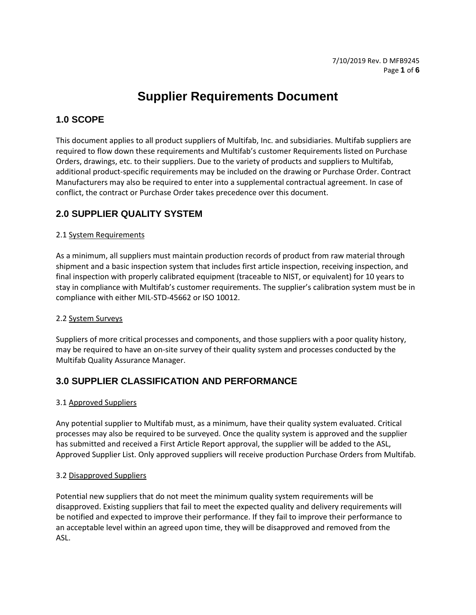# **Supplier Requirements Document**

### **1.0 SCOPE**

This document applies to all product suppliers of Multifab, Inc. and subsidiaries. Multifab suppliers are required to flow down these requirements and Multifab's customer Requirements listed on Purchase Orders, drawings, etc. to their suppliers. Due to the variety of products and suppliers to Multifab, additional product-specific requirements may be included on the drawing or Purchase Order. Contract Manufacturers may also be required to enter into a supplemental contractual agreement. In case of conflict, the contract or Purchase Order takes precedence over this document.

### **2.0 SUPPLIER QUALITY SYSTEM**

#### 2.1 System Requirements

As a minimum, all suppliers must maintain production records of product from raw material through shipment and a basic inspection system that includes first article inspection, receiving inspection, and final inspection with properly calibrated equipment (traceable to NIST, or equivalent) for 10 years to stay in compliance with Multifab's customer requirements. The supplier's calibration system must be in compliance with either MIL-STD-45662 or ISO 10012.

#### 2.2 System Surveys

Suppliers of more critical processes and components, and those suppliers with a poor quality history, may be required to have an on-site survey of their quality system and processes conducted by the Multifab Quality Assurance Manager.

### **3.0 SUPPLIER CLASSIFICATION AND PERFORMANCE**

#### 3.1 Approved Suppliers

Any potential supplier to Multifab must, as a minimum, have their quality system evaluated. Critical processes may also be required to be surveyed. Once the quality system is approved and the supplier has submitted and received a First Article Report approval, the supplier will be added to the ASL, Approved Supplier List. Only approved suppliers will receive production Purchase Orders from Multifab.

#### 3.2 Disapproved Suppliers

Potential new suppliers that do not meet the minimum quality system requirements will be disapproved. Existing suppliers that fail to meet the expected quality and delivery requirements will be notified and expected to improve their performance. If they fail to improve their performance to an acceptable level within an agreed upon time, they will be disapproved and removed from the ASL.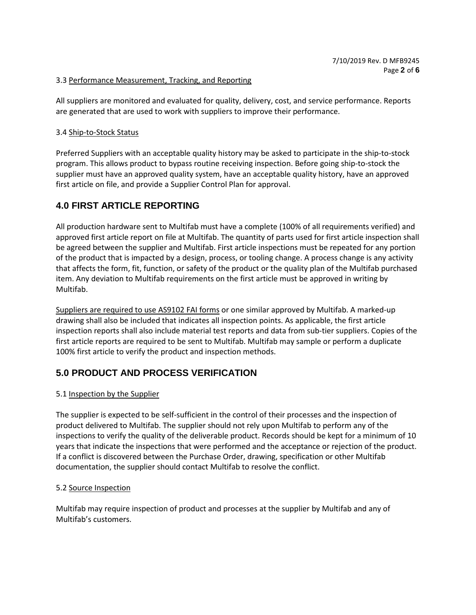#### 3.3 Performance Measurement, Tracking, and Reporting

All suppliers are monitored and evaluated for quality, delivery, cost, and service performance. Reports are generated that are used to work with suppliers to improve their performance.

#### 3.4 Ship-to-Stock Status

Preferred Suppliers with an acceptable quality history may be asked to participate in the ship-to-stock program. This allows product to bypass routine receiving inspection. Before going ship-to-stock the supplier must have an approved quality system, have an acceptable quality history, have an approved first article on file, and provide a Supplier Control Plan for approval.

### **4.0 FIRST ARTICLE REPORTING**

All production hardware sent to Multifab must have a complete (100% of all requirements verified) and approved first article report on file at Multifab. The quantity of parts used for first article inspection shall be agreed between the supplier and Multifab. First article inspections must be repeated for any portion of the product that is impacted by a design, process, or tooling change. A process change is any activity that affects the form, fit, function, or safety of the product or the quality plan of the Multifab purchased item. Any deviation to Multifab requirements on the first article must be approved in writing by Multifab.

Suppliers are required to use AS9102 FAI forms or one similar approved by Multifab. A marked-up drawing shall also be included that indicates all inspection points. As applicable, the first article inspection reports shall also include material test reports and data from sub-tier suppliers. Copies of the first article reports are required to be sent to Multifab. Multifab may sample or perform a duplicate 100% first article to verify the product and inspection methods.

### **5.0 PRODUCT AND PROCESS VERIFICATION**

#### 5.1 Inspection by the Supplier

The supplier is expected to be self-sufficient in the control of their processes and the inspection of product delivered to Multifab. The supplier should not rely upon Multifab to perform any of the inspections to verify the quality of the deliverable product. Records should be kept for a minimum of 10 years that indicate the inspections that were performed and the acceptance or rejection of the product. If a conflict is discovered between the Purchase Order, drawing, specification or other Multifab documentation, the supplier should contact Multifab to resolve the conflict.

#### 5.2 Source Inspection

Multifab may require inspection of product and processes at the supplier by Multifab and any of Multifab's customers.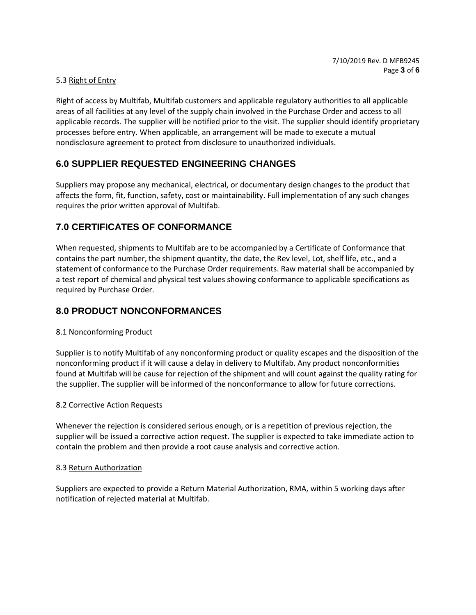#### 5.3 Right of Entry

Right of access by Multifab, Multifab customers and applicable regulatory authorities to all applicable areas of all facilities at any level of the supply chain involved in the Purchase Order and access to all applicable records. The supplier will be notified prior to the visit. The supplier should identify proprietary processes before entry. When applicable, an arrangement will be made to execute a mutual nondisclosure agreement to protect from disclosure to unauthorized individuals.

### **6.0 SUPPLIER REQUESTED ENGINEERING CHANGES**

Suppliers may propose any mechanical, electrical, or documentary design changes to the product that affects the form, fit, function, safety, cost or maintainability. Full implementation of any such changes requires the prior written approval of Multifab.

### **7.0 CERTIFICATES OF CONFORMANCE**

When requested, shipments to Multifab are to be accompanied by a Certificate of Conformance that contains the part number, the shipment quantity, the date, the Rev level, Lot, shelf life, etc., and a statement of conformance to the Purchase Order requirements. Raw material shall be accompanied by a test report of chemical and physical test values showing conformance to applicable specifications as required by Purchase Order.

### **8.0 PRODUCT NONCONFORMANCES**

#### 8.1 Nonconforming Product

Supplier is to notify Multifab of any nonconforming product or quality escapes and the disposition of the nonconforming product if it will cause a delay in delivery to Multifab. Any product nonconformities found at Multifab will be cause for rejection of the shipment and will count against the quality rating for the supplier. The supplier will be informed of the nonconformance to allow for future corrections.

#### 8.2 Corrective Action Requests

Whenever the rejection is considered serious enough, or is a repetition of previous rejection, the supplier will be issued a corrective action request. The supplier is expected to take immediate action to contain the problem and then provide a root cause analysis and corrective action.

#### 8.3 Return Authorization

Suppliers are expected to provide a Return Material Authorization, RMA, within 5 working days after notification of rejected material at Multifab.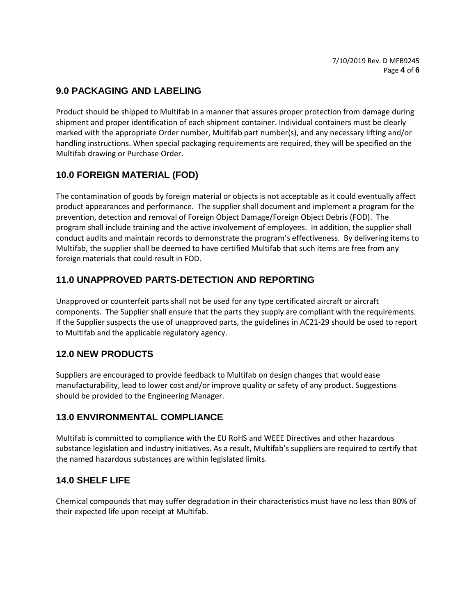# **9.0 PACKAGING AND LABELING**

Product should be shipped to Multifab in a manner that assures proper protection from damage during shipment and proper identification of each shipment container. Individual containers must be clearly marked with the appropriate Order number, Multifab part number(s), and any necessary lifting and/or handling instructions. When special packaging requirements are required, they will be specified on the Multifab drawing or Purchase Order.

# **10.0 FOREIGN MATERIAL (FOD)**

The contamination of goods by foreign material or objects is not acceptable as it could eventually affect product appearances and performance. The supplier shall document and implement a program for the prevention, detection and removal of Foreign Object Damage/Foreign Object Debris (FOD). The program shall include training and the active involvement of employees. In addition, the supplier shall conduct audits and maintain records to demonstrate the program's effectiveness. By delivering items to Multifab, the supplier shall be deemed to have certified Multifab that such items are free from any foreign materials that could result in FOD.

# **11.0 UNAPPROVED PARTS-DETECTION AND REPORTING**

Unapproved or counterfeit parts shall not be used for any type certificated aircraft or aircraft components. The Supplier shall ensure that the parts they supply are compliant with the requirements. If the Supplier suspects the use of unapproved parts, the guidelines in AC21-29 should be used to report to Multifab and the applicable regulatory agency.

### **12.0 NEW PRODUCTS**

Suppliers are encouraged to provide feedback to Multifab on design changes that would ease manufacturability, lead to lower cost and/or improve quality or safety of any product. Suggestions should be provided to the Engineering Manager.

### **13.0 ENVIRONMENTAL COMPLIANCE**

Multifab is committed to compliance with the EU RoHS and WEEE Directives and other hazardous substance legislation and industry initiatives. As a result, Multifab's suppliers are required to certify that the named hazardous substances are within legislated limits.

### **14.0 SHELF LIFE**

Chemical compounds that may suffer degradation in their characteristics must have no less than 80% of their expected life upon receipt at Multifab.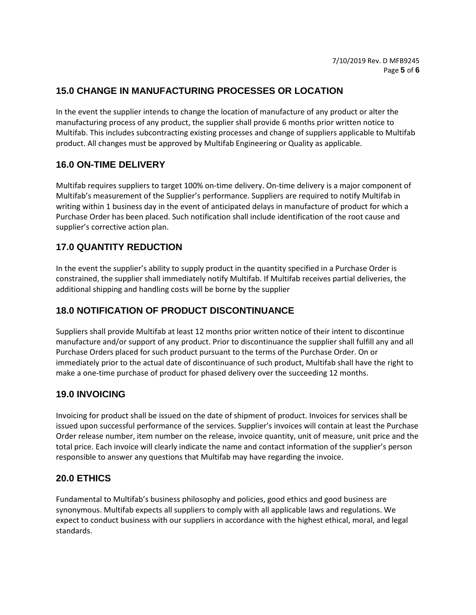# **15.0 CHANGE IN MANUFACTURING PROCESSES OR LOCATION**

In the event the supplier intends to change the location of manufacture of any product or alter the manufacturing process of any product, the supplier shall provide 6 months prior written notice to Multifab. This includes subcontracting existing processes and change of suppliers applicable to Multifab product. All changes must be approved by Multifab Engineering or Quality as applicable.

### **16.0 ON-TIME DELIVERY**

Multifab requires suppliers to target 100% on-time delivery. On-time delivery is a major component of Multifab's measurement of the Supplier's performance. Suppliers are required to notify Multifab in writing within 1 business day in the event of anticipated delays in manufacture of product for which a Purchase Order has been placed. Such notification shall include identification of the root cause and supplier's corrective action plan.

### **17.0 QUANTITY REDUCTION**

In the event the supplier's ability to supply product in the quantity specified in a Purchase Order is constrained, the supplier shall immediately notify Multifab. If Multifab receives partial deliveries, the additional shipping and handling costs will be borne by the supplier

# **18.0 NOTIFICATION OF PRODUCT DISCONTINUANCE**

Suppliers shall provide Multifab at least 12 months prior written notice of their intent to discontinue manufacture and/or support of any product. Prior to discontinuance the supplier shall fulfill any and all Purchase Orders placed for such product pursuant to the terms of the Purchase Order. On or immediately prior to the actual date of discontinuance of such product, Multifab shall have the right to make a one-time purchase of product for phased delivery over the succeeding 12 months.

### **19.0 INVOICING**

Invoicing for product shall be issued on the date of shipment of product. Invoices for services shall be issued upon successful performance of the services. Supplier's invoices will contain at least the Purchase Order release number, item number on the release, invoice quantity, unit of measure, unit price and the total price. Each invoice will clearly indicate the name and contact information of the supplier's person responsible to answer any questions that Multifab may have regarding the invoice.

### **20.0 ETHICS**

Fundamental to Multifab's business philosophy and policies, good ethics and good business are synonymous. Multifab expects all suppliers to comply with all applicable laws and regulations. We expect to conduct business with our suppliers in accordance with the highest ethical, moral, and legal standards.